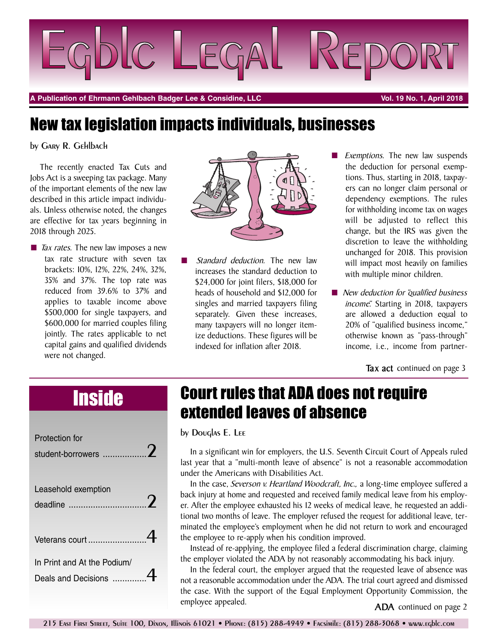

**A Publication of Ehrmann Gehlbach Badger Lee & Considine, LLC Vol. 19 No. 1, April 2018**

# New tax legislation impacts individuals, businesses

by Gary R. Gehlbach

The recently enacted Tax Cuts and Jobs Act is a sweeping tax package. Many of the important elements of the new law described in this article impact individuals. Unless otherwise noted, the changes are effective for tax years beginning in 2018 through 2025.

■ *Tax rates*. The new law imposes a new tax rate structure with seven tax brackets: 10%, 12%, 22%, 24%, 32%, 35% and 37%. The top rate was reduced from 39.6% to 37% and applies to taxable income above \$500,000 for single taxpayers, and \$600,000 for married couples filing jointly. The rates applicable to net capital gains and qualified dividends were not changed.



- **■** *Standard deduction.* The new law increases the standard deduction to \$24,000 for joint filers, \$18,000 for heads of household and \$12,000 for singles and married taxpayers filing separately. Given these increases, many taxpayers will no longer itemize deductions. These figures will be indexed for inflation after 2018.
- *Exemptions.* The new law suspends the deduction for personal exemptions. Thus, starting in 2018, taxpayers can no longer claim personal or dependency exemptions. The rules for withholding income tax on wages will be adjusted to reflect this change, but the IRS was given the discretion to leave the withholding unchanged for 2018. This provision will impact most heavily on families with multiple minor children.
- **■** *New deduction for "qualified business income."* Starting in 2018, taxpayers are allowed a deduction equal to 20% of "qualified business income," otherwise known as "pass-through" income, i.e., income from partner-

**Tax act** continued on page 3

| Protection for<br>student-borrowers                |  |
|----------------------------------------------------|--|
| Leasehold exemption<br>deadline                    |  |
|                                                    |  |
| In Print and At the Podium/<br>Deals and Decisions |  |

# Inside Court rules that ADA does not require extended leaves of absence

by Douglas E. Lee

In a significant win for employers, the U.S. Seventh Circuit Court of Appeals ruled last year that a "multi-month leave of absence" is not a reasonable accommodation under the Americans with Disabilities Act.

In the case, *Severson v. Heartland Woodcraft, Inc.,* a long-time employee suffered a back injury at home and requested and received family medical leave from his employer. After the employee exhausted his 12 weeks of medical leave, he requested an additional two months of leave. The employer refused the request for additional leave, terminated the employee's employment when he did not return to work and encouraged the employee to re-apply when his condition improved.

Instead of re-applying, the employee filed a federal discrimination charge, claiming the employer violated the ADA by not reasonably accommodating his back injury.

In the federal court, the employer argued that the requested leave of absence was not a reasonable accommodation under the ADA. The trial court agreed and dismissed the case. With the support of the Equal Employment Opportunity Commission, the employee appealed. **ADA** continued on page 2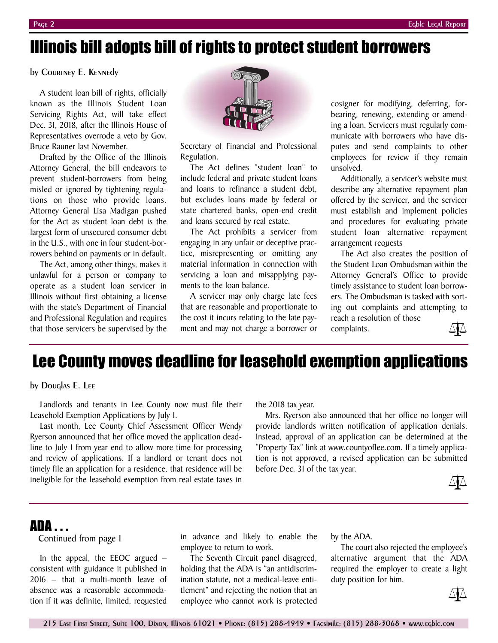## Illinois bill adopts bill of rights to protect student borrowers

by Courtney E. Kennedy

A student loan bill of rights, officially known as the Illinois Student Loan Servicing Rights Act, will take effect Dec. 31, 2018, after the Illinois House of Representatives overrode a veto by Gov. Bruce Rauner last November.

Drafted by the Office of the Illinois Attorney General, the bill endeavors to prevent student-borrowers from being misled or ignored by tightening regulations on those who provide loans. Attorney General Lisa Madigan pushed for the Act as student loan debt is the largest form of unsecured consumer debt in the U.S., with one in four student-borrowers behind on payments or in default.

The Act, among other things, makes it unlawful for a person or company to operate as a student loan servicer in Illinois without first obtaining a license with the state's Department of Financial and Professional Regulation and requires that those servicers be supervised by the



Secretary of Financial and Professional Regulation.

The Act defines "student loan" to include federal and private student loans and loans to refinance a student debt, but excludes loans made by federal or state chartered banks, open-end credit and loans secured by real estate.

The Act prohibits a servicer from engaging in any unfair or deceptive practice, misrepresenting or omitting any material information in connection with servicing a loan and misapplying payments to the loan balance.

A servicer may only charge late fees that are reasonable and proportionate to the cost it incurs relating to the late payment and may not charge a borrower or cosigner for modifying, deferring, forbearing, renewing, extending or amending a loan. Servicers must regularly communicate with borrowers who have disputes and send complaints to other employees for review if they remain unsolved.

Additionally, a servicer's website must describe any alternative repayment plan offered by the servicer, and the servicer must establish and implement policies and procedures for evaluating private student loan alternative repayment arrangement requests

The Act also creates the position of the Student Loan Ombudsman within the Attorney General's Office to provide timely assistance to student loan borrowers. The Ombudsman is tasked with sorting out complaints and attempting to reach a resolution of those

complaints.

## Lee County moves deadline for leasehold exemption applications

by Douglas E. Lee

Landlords and tenants in Lee County now must file their Leasehold Exemption Applications by July 1.

Last month, Lee County Chief Assessment Officer Wendy Ryerson announced that her office moved the application deadline to July 1 from year end to allow more time for processing and review of applications. If a landlord or tenant does not timely file an application for a residence, that residence will be ineligible for the leasehold exemption from real estate taxes in

the 2018 tax year.

Mrs. Ryerson also announced that her office no longer will provide landlords written notification of application denials. Instead, approval of an application can be determined at the "Property Tax" link at www.countyoflee.com. If a timely application is not approved, a revised application can be submitted before Dec. 31 of the tax year.



### ADA . . .

Continued from page 1

In the appeal, the EEOC argued – consistent with guidance it published in 2016 – that a multi-month leave of absence was a reasonable accommodation if it was definite, limited, requested

in advance and likely to enable the employee to return to work.

The Seventh Circuit panel disagreed, holding that the ADA is "an antidiscrimination statute, not a medical-leave entitlement" and rejecting the notion that an employee who cannot work is protected

by the ADA.

The court also rejected the employee's alternative argument that the ADA required the employer to create a light duty position for him.

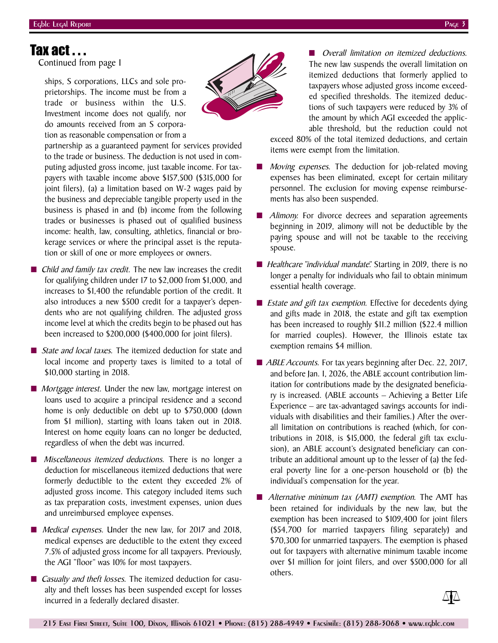### Tax act . . .

Continued from page 1

ships, S corporations, LLCs and sole proprietorships. The income must be from a trade or business within the U.S. Investment income does not qualify, nor do amounts received from an S corporation as reasonable compensation or from a

**■** *Overall limitation on itemized deductions.* The new law suspends the overall limitation on itemized deductions that formerly applied to taxpayers whose adjusted gross income exceeded specified thresholds. The itemized deductions of such taxpayers were reduced by 3% of the amount by which AGI exceeded the applicable threshold, but the reduction could not

exceed 80% of the total itemized deductions, and certain items were exempt from the limitation.

- *Moving expenses.* The deduction for job-related moving expenses has been eliminated, except for certain military personnel. The exclusion for moving expense reimbursements has also been suspended.
- Alimony. For divorce decrees and separation agreements beginning in 2019, alimony will not be deductible by the paying spouse and will not be taxable to the receiving spouse.
- *Healthcare "individual mandate"*. Starting in 2019, there is no longer a penalty for individuals who fail to obtain minimum essential health coverage.
- *Estate and gift tax exemption.* Effective for decedents dying and gifts made in 2018, the estate and gift tax exemption has been increased to roughly \$11.2 million (\$22.4 million for married couples). However, the Illinois estate tax exemption remains \$4 million.
- *ABLE Accounts.* For tax years beginning after Dec. 22, 2017, and before Jan. 1, 2026, the ABLE account contribution limitation for contributions made by the designated beneficiary is increased. (ABLE accounts – Achieving a Better Life Experience – are tax-advantaged savings accounts for individuals with disabilities and their families.) After the overall limitation on contributions is reached (which, for contributions in 2018, is \$15,000, the federal gift tax exclusion), an ABLE account's designated beneficiary can contribute an additional amount up to the lesser of (a) the federal poverty line for a one-person household or (b) the individual's compensation for the year.
- **■** *Alternative minimum tax (AMT) exemption.* The AMT has been retained for individuals by the new law, but the exemption has been increased to \$109,400 for joint filers (\$54,700 for married taxpayers filing separately) and \$70,300 for unmarried taxpayers. The exemption is phased out for taxpayers with alternative minimum taxable income over \$1 million for joint filers, and over \$500,000 for all others.



partnership as a guaranteed payment for services provided to the trade or business. The deduction is not used in computing adjusted gross income, just taxable income. For taxpayers with taxable income above \$157,500 (\$315,000 for joint filers), (a) a limitation based on W-2 wages paid by the business and depreciable tangible property used in the business is phased in and (b) income from the following trades or businesses is phased out of qualified business income: health, law, consulting, athletics, financial or brokerage services or where the principal asset is the reputation or skill of one or more employees or owners.

- *Child and family tax credit.* The new law increases the credit for qualifying children under 17 to \$2,000 from \$1,000, and increases to \$1,400 the refundable portion of the credit. It also introduces a new \$500 credit for a taxpayer's dependents who are not qualifying children. The adjusted gross income level at which the credits begin to be phased out has been increased to \$200,000 (\$400,000 for joint filers).
- *State and local taxes*. The itemized deduction for state and local income and property taxes is limited to a total of \$10,000 starting in 2018.
- *Mortgage interest*. Under the new law, mortgage interest on loans used to acquire a principal residence and a second home is only deductible on debt up to \$750,000 (down from \$1 million), starting with loans taken out in 2018. Interest on home equity loans can no longer be deducted, regardless of when the debt was incurred.
- **■** *Miscellaneous itemized deductions.* There is no longer a deduction for miscellaneous itemized deductions that were formerly deductible to the extent they exceeded 2% of adjusted gross income. This category included items such as tax preparation costs, investment expenses, union dues and unreimbursed employee expenses.
- *Medical expenses*. Under the new law, for 2017 and 2018, medical expenses are deductible to the extent they exceed 7.5% of adjusted gross income for all taxpayers. Previously, the AGI "floor" was 10% for most taxpayers.
- *Casualty and theft losses*. The itemized deduction for casualty and theft losses has been suspended except for losses incurred in a federally declared disaster.